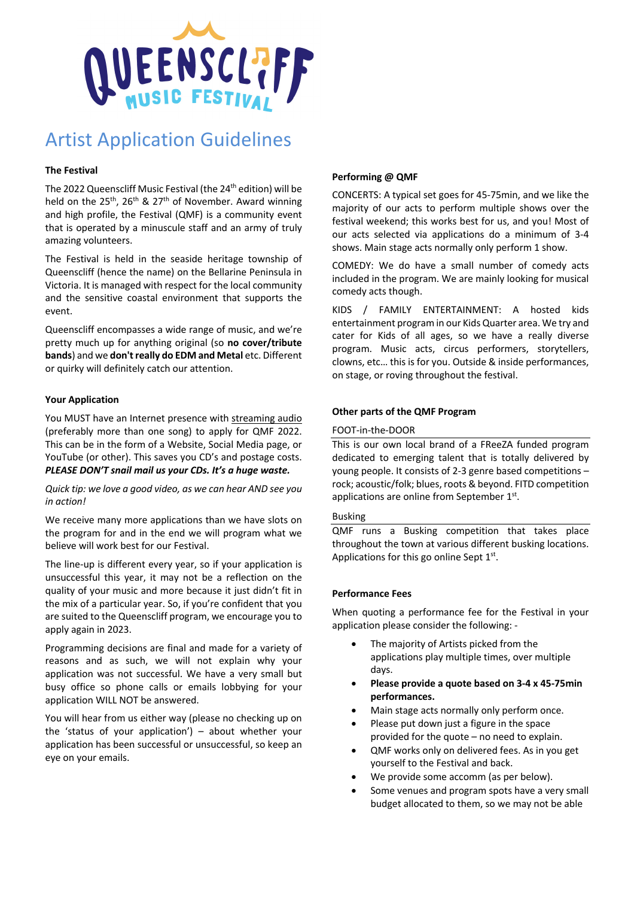

# Artist Application Guidelines

# **The Festival**

The 2022 Queenscliff Music Festival (the 24<sup>th</sup> edition) will be held on the 25<sup>th</sup>, 26<sup>th</sup> & 27<sup>th</sup> of November. Award winning and high profile, the Festival (QMF) is a community event that is operated by a minuscule staff and an army of truly amazing volunteers.

The Festival is held in the seaside heritage township of Queenscliff (hence the name) on the Bellarine Peninsula in Victoria. It is managed with respect for the local community and the sensitive coastal environment that supports the event.

Queenscliff encompasses a wide range of music, and we're pretty much up for anything original (so **no cover/tribute bands**) and we **don't really do EDM and Metal** etc. Different or quirky will definitely catch our attention.

# **Your Application**

You MUST have an Internet presence with streaming audio (preferably more than one song) to apply for QMF 2022. This can be in the form of a Website, Social Media page, or YouTube (or other). This saves you CD's and postage costs. *PLEASE DON'T snail mail us your CDs. It's a huge waste.*

*Quick tip: we love a good video, as we can hear AND see you in action!*

We receive many more applications than we have slots on the program for and in the end we will program what we believe will work best for our Festival.

The line-up is different every year, so if your application is unsuccessful this year, it may not be a reflection on the quality of your music and more because it just didn't fit in the mix of a particular year. So, if you're confident that you are suited to the Queenscliff program, we encourage you to apply again in 2023.

Programming decisions are final and made for a variety of reasons and as such, we will not explain why your application was not successful. We have a very small but busy office so phone calls or emails lobbying for your application WILL NOT be answered.

You will hear from us either way (please no checking up on the 'status of your application') – about whether your application has been successful or unsuccessful, so keep an eye on your emails.

# **Performing @ QMF**

CONCERTS: A typical set goes for 45-75min, and we like the majority of our acts to perform multiple shows over the festival weekend; this works best for us, and you! Most of our acts selected via applications do a minimum of 3-4 shows. Main stage acts normally only perform 1 show.

COMEDY: We do have a small number of comedy acts included in the program. We are mainly looking for musical comedy acts though.

KIDS / FAMILY ENTERTAINMENT: A hosted kids entertainment programin our Kids Quarter area. We try and cater for Kids of all ages, so we have a really diverse program. Music acts, circus performers, storytellers, clowns, etc… this is for you. Outside & inside performances, on stage, or roving throughout the festival.

# **Other parts of the QMF Program**

## FOOT-in-the-DOOR

This is our own local brand of a FReeZA funded program dedicated to emerging talent that is totally delivered by young people. It consists of 2-3 genre based competitions – rock; acoustic/folk; blues, roots & beyond. FITD competition applications are online from September 1st.

#### Busking

QMF runs a Busking competition that takes place throughout the town at various different busking locations. Applications for this go online Sept  $1<sup>st</sup>$ .

## **Performance Fees**

When quoting a performance fee for the Festival in your application please consider the following: -

- The majority of Artists picked from the applications play multiple times, over multiple days.
- **Please provide a quote based on 3-4 x 45-75min performances.**
- Main stage acts normally only perform once.
- Please put down just a figure in the space provided for the quote – no need to explain.
- QMF works only on delivered fees. As in you get yourself to the Festival and back.
- We provide some accomm (as per below).
- Some venues and program spots have a very small budget allocated to them, so we may not be able